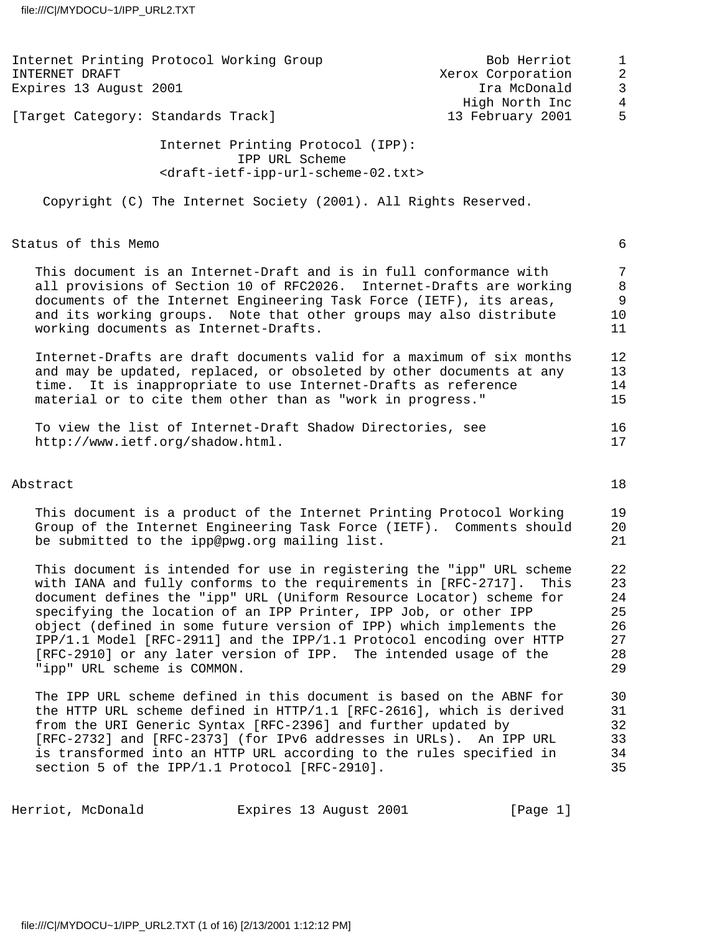| Internet Printing Protocol Working Group                                                                                                                                                                                                                                                                                                                                                                                                                                                                                                | Bob Herriot                        | $\mathbf 1$                                             |
|-----------------------------------------------------------------------------------------------------------------------------------------------------------------------------------------------------------------------------------------------------------------------------------------------------------------------------------------------------------------------------------------------------------------------------------------------------------------------------------------------------------------------------------------|------------------------------------|---------------------------------------------------------|
| INTERNET DRAFT<br>Expires 13 August 2001                                                                                                                                                                                                                                                                                                                                                                                                                                                                                                | Xerox Corporation<br>Ira McDonald  | $\overline{2}$<br>$\mathbf{3}$                          |
| [Target Category: Standards Track]                                                                                                                                                                                                                                                                                                                                                                                                                                                                                                      | High North Inc<br>13 February 2001 | $\overline{4}$<br>5                                     |
| Internet Printing Protocol (IPP):<br>IPP URL Scheme<br><draft-ietf-ipp-url-scheme-02.txt></draft-ietf-ipp-url-scheme-02.txt>                                                                                                                                                                                                                                                                                                                                                                                                            |                                    |                                                         |
| Copyright (C) The Internet Society (2001). All Rights Reserved.                                                                                                                                                                                                                                                                                                                                                                                                                                                                         |                                    |                                                         |
| Status of this Memo                                                                                                                                                                                                                                                                                                                                                                                                                                                                                                                     |                                    | 6                                                       |
|                                                                                                                                                                                                                                                                                                                                                                                                                                                                                                                                         |                                    |                                                         |
| This document is an Internet-Draft and is in full conformance with<br>all provisions of Section 10 of RFC2026. Internet-Drafts are working<br>documents of the Internet Engineering Task Force (IETF), its areas,<br>and its working groups. Note that other groups may also distribute<br>working documents as Internet-Drafts.                                                                                                                                                                                                        |                                    | $\overline{7}$<br>$\,8\,$<br>$\overline{9}$<br>10<br>11 |
| Internet-Drafts are draft documents valid for a maximum of six months<br>and may be updated, replaced, or obsoleted by other documents at any<br>time. It is inappropriate to use Internet-Drafts as reference<br>material or to cite them other than as "work in progress."                                                                                                                                                                                                                                                            |                                    | 12<br>13<br>14<br>15                                    |
| To view the list of Internet-Draft Shadow Directories, see<br>http://www.ietf.org/shadow.html.                                                                                                                                                                                                                                                                                                                                                                                                                                          |                                    | 16<br>17                                                |
| Abstract                                                                                                                                                                                                                                                                                                                                                                                                                                                                                                                                |                                    | 18                                                      |
| This document is a product of the Internet Printing Protocol Working<br>Group of the Internet Engineering Task Force (IETF). Comments should<br>be submitted to the ipp@pwg.org mailing list.                                                                                                                                                                                                                                                                                                                                           |                                    | 19<br>20<br>21                                          |
| This document is intended for use in registering the "ipp" URL scheme<br>with IANA and fully conforms to the requirements in [RFC-2717].<br>document defines the "ipp" URL (Uniform Resource Locator) scheme for<br>specifying the location of an IPP Printer, IPP Job, or other IPP<br>object (defined in some future version of IPP) which implements the<br>IPP/1.1 Model [RFC-2911] and the IPP/1.1 Protocol encoding over HTTP<br>[RFC-2910] or any later version of IPP. The intended usage of the<br>"ipp" URL scheme is COMMON. | This                               | 22<br>23<br>24<br>25<br>26<br>27<br>28<br>29            |
| The IPP URL scheme defined in this document is based on the ABNF for<br>the HTTP URL scheme defined in HTTP/1.1 [RFC-2616], which is derived<br>from the URI Generic Syntax [RFC-2396] and further updated by<br>[RFC-2732] and [RFC-2373] (for IPv6 addresses in URLs). An IPP URL<br>is transformed into an HTTP URL according to the rules specified in<br>section 5 of the IPP/1.1 Protocol [RFC-2910].                                                                                                                             |                                    | 30<br>31<br>32<br>33<br>34<br>35                        |

Herriot, McDonald **Expires** 13 August 2001 [Page 1]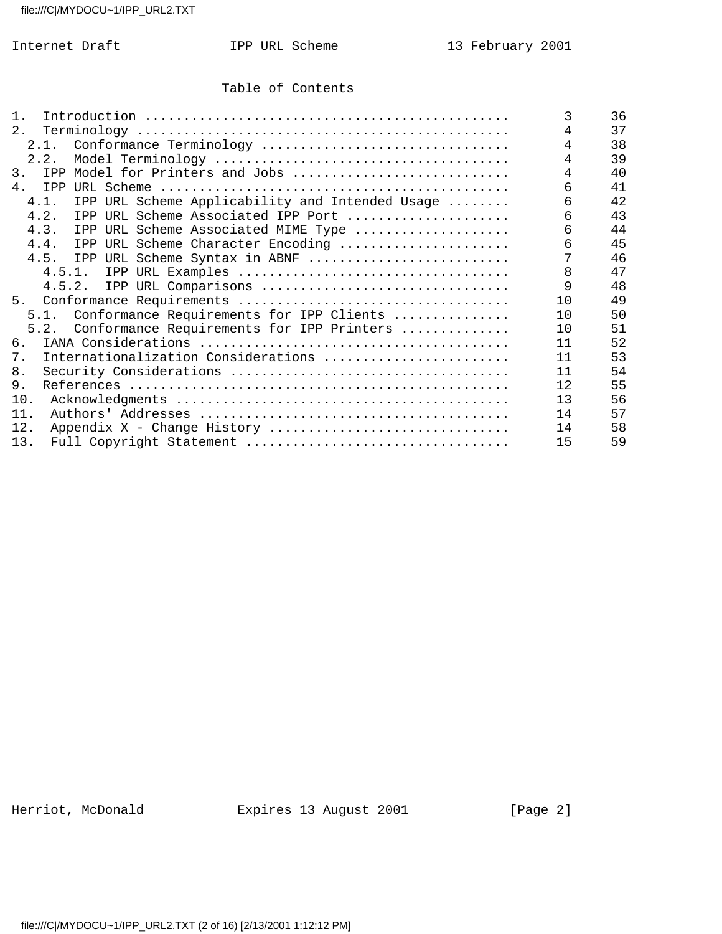### Table of Contents

| $1$ .                                                   | 3  | 36 |
|---------------------------------------------------------|----|----|
| 2.                                                      | 4  | 37 |
| 2.1. Conformance Terminology                            | 4  | 38 |
| 2.2.                                                    |    | 39 |
| 3.<br>IPP Model for Printers and Jobs                   |    | 40 |
| 4.<br>IPP                                               | 6  | 41 |
| IPP URL Scheme Applicability and Intended Usage<br>4.1. | 6  | 42 |
| 4.2.<br>IPP URL Scheme Associated IPP Port              | 6  | 43 |
| 4.3.<br>IPP URL Scheme Associated MIME Type             | 6  | 44 |
| 4.4.<br>IPP URL Scheme Character Encoding               | б  | 45 |
| IPP URL Scheme Syntax in ABNF<br>4.5.                   |    | 46 |
|                                                         | 8  | 47 |
| 4.5.2. IPP URL Comparisons                              | 9  | 48 |
| 5.                                                      | 10 | 49 |
| 5.1. Conformance Requirements for IPP Clients           | 10 | 50 |
| Conformance Requirements for IPP Printers<br>5.2.       | 10 | 51 |
| 6.                                                      | 11 | 52 |
| Internationalization Considerations<br>7.               | 11 | 53 |
| 8.                                                      | 11 | 54 |
| 9.                                                      | 12 | 55 |
| 10.                                                     | 13 | 56 |
| 11.                                                     | 14 | 57 |
| 12.<br>Appendix X - Change History                      | 14 | 58 |
| 13.                                                     | 15 | 59 |

Herriot, McDonald **Expires 13 August 2001** [Page 2]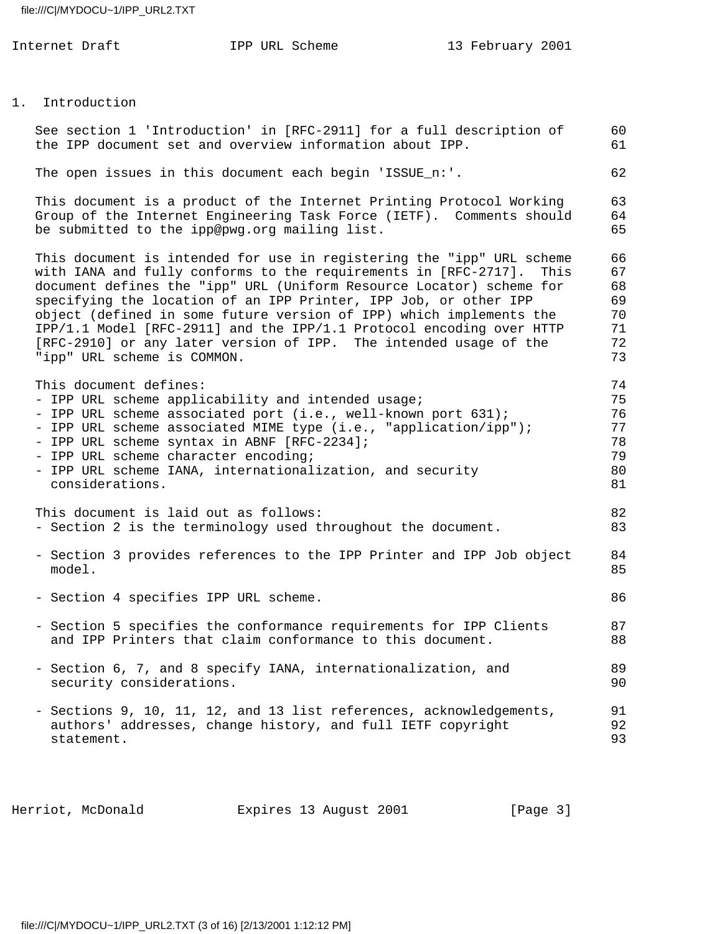|    | Internet Draft                                                                                                                   | IPP URL Scheme                                                                                                                                                                                                                                                                                                                                                                                                                                                                                           | 13 February 2001 |                                              |
|----|----------------------------------------------------------------------------------------------------------------------------------|----------------------------------------------------------------------------------------------------------------------------------------------------------------------------------------------------------------------------------------------------------------------------------------------------------------------------------------------------------------------------------------------------------------------------------------------------------------------------------------------------------|------------------|----------------------------------------------|
|    |                                                                                                                                  |                                                                                                                                                                                                                                                                                                                                                                                                                                                                                                          |                  |                                              |
| 1. | Introduction                                                                                                                     |                                                                                                                                                                                                                                                                                                                                                                                                                                                                                                          |                  |                                              |
|    |                                                                                                                                  | See section 1 'Introduction' in [RFC-2911] for a full description of<br>the IPP document set and overview information about IPP.                                                                                                                                                                                                                                                                                                                                                                         |                  | 60<br>61                                     |
|    |                                                                                                                                  | The open issues in this document each begin 'ISSUE_n:'.                                                                                                                                                                                                                                                                                                                                                                                                                                                  |                  | 62                                           |
|    | be submitted to the ipp@pwg.org mailing list.                                                                                    | This document is a product of the Internet Printing Protocol Working<br>Group of the Internet Engineering Task Force (IETF). Comments should                                                                                                                                                                                                                                                                                                                                                             |                  | 63<br>64<br>65                               |
|    | "ipp" URL scheme is COMMON.                                                                                                      | This document is intended for use in registering the "ipp" URL scheme<br>with IANA and fully conforms to the requirements in [RFC-2717].<br>document defines the "ipp" URL (Uniform Resource Locator) scheme for<br>specifying the location of an IPP Printer, IPP Job, or other IPP<br>object (defined in some future version of IPP) which implements the<br>IPP/1.1 Model [RFC-2911] and the IPP/1.1 Protocol encoding over HTTP<br>[RFC-2910] or any later version of IPP. The intended usage of the | This             | 66<br>67<br>68<br>69<br>70<br>71<br>72<br>73 |
|    | This document defines:<br>- IPP URL scheme syntax in ABNF [RFC-2234];<br>- IPP URL scheme character encoding;<br>considerations. | - IPP URL scheme applicability and intended usage;<br>- IPP URL scheme associated port (i.e., well-known port 631);<br>- IPP URL scheme associated MIME type (i.e., "application/ipp");<br>- IPP URL scheme IANA, internationalization, and security                                                                                                                                                                                                                                                     |                  | 74<br>75<br>76<br>77<br>78<br>79<br>80<br>81 |
|    | This document is laid out as follows:                                                                                            | - Section 2 is the terminology used throughout the document.                                                                                                                                                                                                                                                                                                                                                                                                                                             |                  | 82<br>83                                     |
|    | model.                                                                                                                           | - Section 3 provides references to the IPP Printer and IPP Job object                                                                                                                                                                                                                                                                                                                                                                                                                                    |                  | 84<br>85                                     |
|    | - Section 4 specifies IPP URL scheme.                                                                                            |                                                                                                                                                                                                                                                                                                                                                                                                                                                                                                          |                  | 86                                           |
|    |                                                                                                                                  | - Section 5 specifies the conformance requirements for IPP Clients<br>and IPP Printers that claim conformance to this document.                                                                                                                                                                                                                                                                                                                                                                          |                  | 87<br>88                                     |
|    | security considerations.                                                                                                         | - Section 6, 7, and 8 specify IANA, internationalization, and                                                                                                                                                                                                                                                                                                                                                                                                                                            |                  | 89<br>90                                     |
|    | statement.                                                                                                                       | - Sections 9, 10, 11, 12, and 13 list references, acknowledgements,<br>authors' addresses, change history, and full IETF copyright                                                                                                                                                                                                                                                                                                                                                                       |                  | 91<br>92<br>93                               |

Herriot, McDonald Expires 13 August 2001 [Page 3]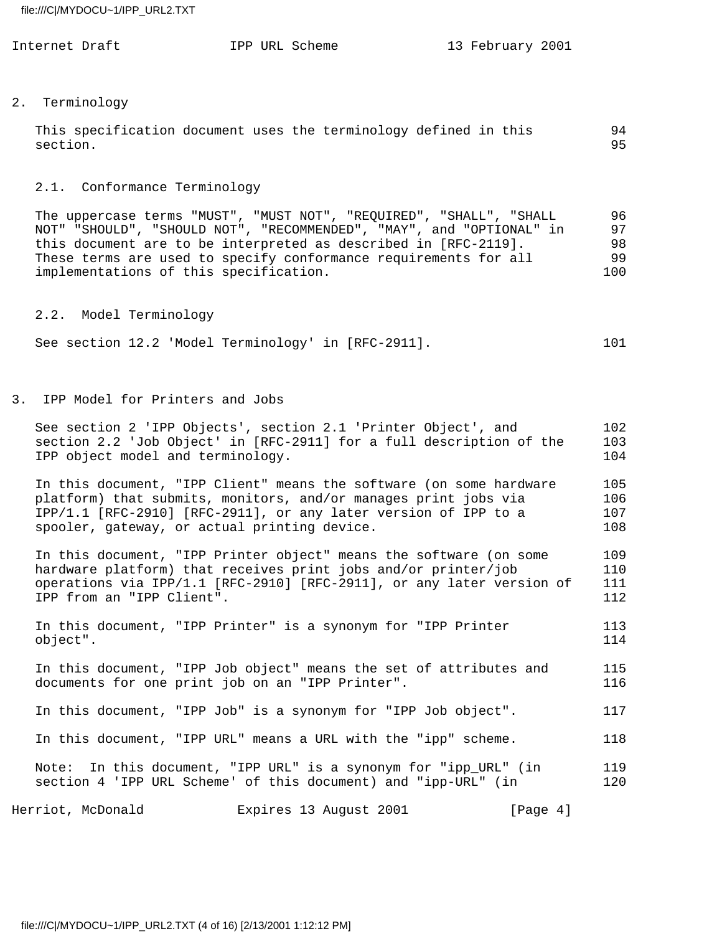| Internet Draft | IPP URL Scheme |  | 13 February 2001 |  |
|----------------|----------------|--|------------------|--|
|                |                |  |                  |  |

#### 2. Terminology

| This specification document uses the terminology defined in this | 94 |
|------------------------------------------------------------------|----|
| section.                                                         | 95 |

# 2.1. Conformance Terminology

 The uppercase terms "MUST", "MUST NOT", "REQUIRED", "SHALL", "SHALL 96 NOT" "SHOULD", "SHOULD NOT", "RECOMMENDED", "MAY", and "OPTIONAL" in 97 this document are to be interpreted as described in [RFC-2119]. 98 These terms are used to specify conformance requirements for all 99 implementations of this specification. 100

2.2. Model Terminology

| See section 12.2 'Model Terminology' in [RFC-2911]. |  |  | 101 |
|-----------------------------------------------------|--|--|-----|
|-----------------------------------------------------|--|--|-----|

3. IPP Model for Printers and Jobs

| See section 2 'IPP Objects', section 2.1 'Printer Object', and<br>section 2.2 'Job Object' in [RFC-2911] for a full description of the<br>IPP object model and terminology.                                                                               | 102<br>103<br>104        |
|-----------------------------------------------------------------------------------------------------------------------------------------------------------------------------------------------------------------------------------------------------------|--------------------------|
| In this document, "IPP Client" means the software (on some hardware<br>platform) that submits, monitors, and/or manages print jobs via<br>IPP/1.1 [RFC-2910] [RFC-2911], or any later version of IPP to a<br>spooler, gateway, or actual printing device. | 105<br>106<br>107<br>108 |
| In this document, "IPP Printer object" means the software (on some<br>hardware platform) that receives print jobs and/or printer/job<br>operations via IPP/1.1 [RFC-2910] [RFC-2911], or any later version of<br>IPP from an "IPP Client".                | 109<br>110<br>111<br>112 |
| In this document, "IPP Printer" is a synonym for "IPP Printer<br>object".                                                                                                                                                                                 | 113<br>114               |
| In this document, "IPP Job object" means the set of attributes and<br>documents for one print job on an "IPP Printer".                                                                                                                                    | 115<br>116               |
| In this document, "IPP Job" is a synonym for "IPP Job object".                                                                                                                                                                                            | 117                      |
| In this document, "IPP URL" means a URL with the "ipp" scheme.                                                                                                                                                                                            | 118                      |
| Note: In this document, "IPP URL" is a synonym for "ipp_URL" (in<br>section 4 'IPP URL Scheme' of this document) and "ipp-URL" (in                                                                                                                        | 119<br>120               |
|                                                                                                                                                                                                                                                           |                          |

Herriot, McDonald **Expires 13 August 2001** [Page 4]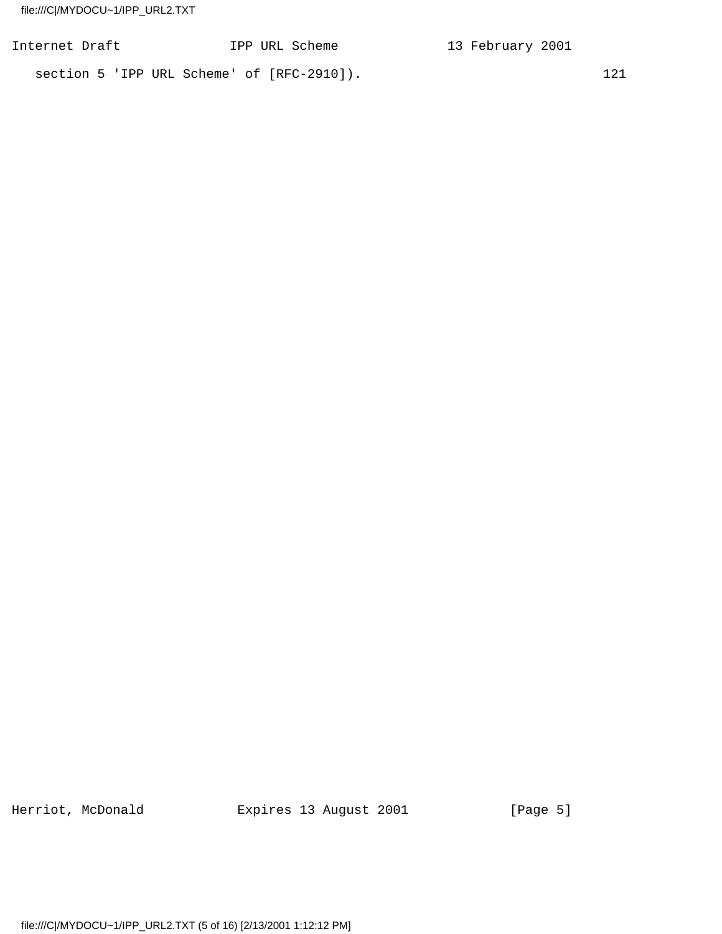| Internet Draft |  |  | IPP URL Scheme                             | 13 February 2001 |     |
|----------------|--|--|--------------------------------------------|------------------|-----|
|                |  |  | section 5 'IPP URL Scheme' of [RFC-2910]). |                  | 121 |

Herriot, McDonald **Expires 13 August 2001** [Page 5]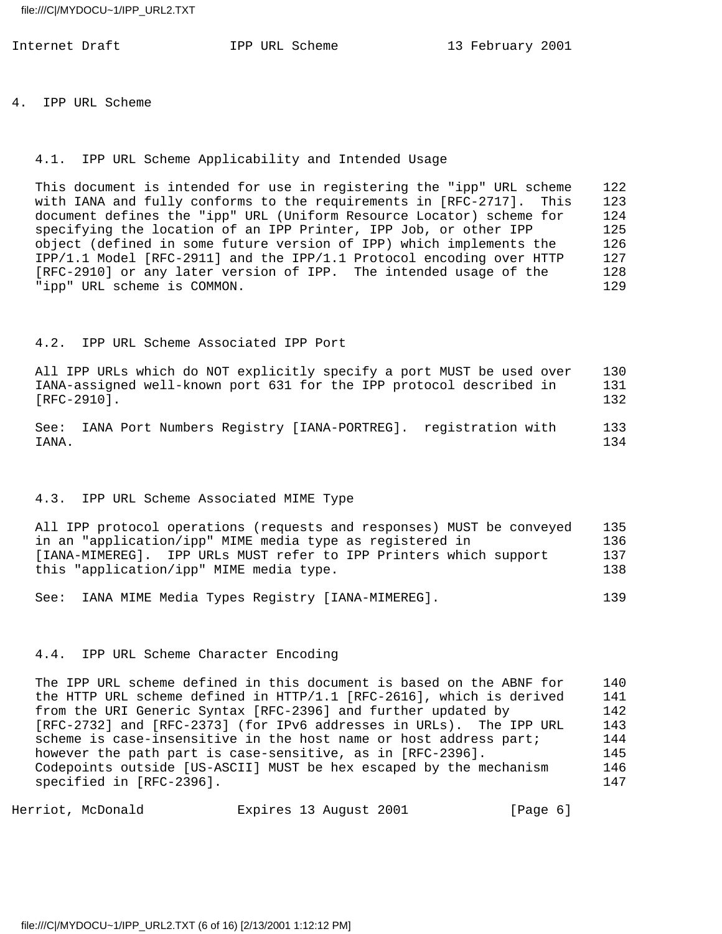4. IPP URL Scheme

#### 4.1. IPP URL Scheme Applicability and Intended Usage

 This document is intended for use in registering the "ipp" URL scheme 122 with IANA and fully conforms to the requirements in [RFC-2717]. This 123 document defines the "ipp" URL (Uniform Resource Locator) scheme for 124 specifying the location of an IPP Printer, IPP Job, or other IPP 125 object (defined in some future version of IPP) which implements the 126 IPP/1.1 Model [RFC-2911] and the IPP/1.1 Protocol encoding over HTTP 127 [RFC-2910] or any later version of IPP. The intended usage of the 128 "ipp" URL scheme is COMMON. 129

#### 4.2. IPP URL Scheme Associated IPP Port

 All IPP URLs which do NOT explicitly specify a port MUST be used over 130 IANA-assigned well-known port 631 for the IPP protocol described in 131 [RFC-2910]. 132

 See: IANA Port Numbers Registry [IANA-PORTREG]. registration with 133 IANA. 134

#### 4.3. IPP URL Scheme Associated MIME Type

 All IPP protocol operations (requests and responses) MUST be conveyed 135 in an "application/ipp" MIME media type as registered in 136 [IANA-MIMEREG]. IPP URLs MUST refer to IPP Printers which support 137 this "application/ipp" MIME media type. 138

See: IANA MIME Media Types Registry [IANA-MIMEREG]. 139

#### 4.4. IPP URL Scheme Character Encoding

 The IPP URL scheme defined in this document is based on the ABNF for 140 the HTTP URL scheme defined in HTTP/1.1 [RFC-2616], which is derived 141 from the URI Generic Syntax [RFC-2396] and further updated by 142 [RFC-2732] and [RFC-2373] (for IPv6 addresses in URLs). The IPP URL 143 scheme is case-insensitive in the host name or host address part; 144 however the path part is case-sensitive, as in [RFC-2396]. 145 Codepoints outside [US-ASCII] MUST be hex escaped by the mechanism 146 specified in [RFC-2396]. 147

Herriot, McDonald Expires 13 August 2001 [Page 6]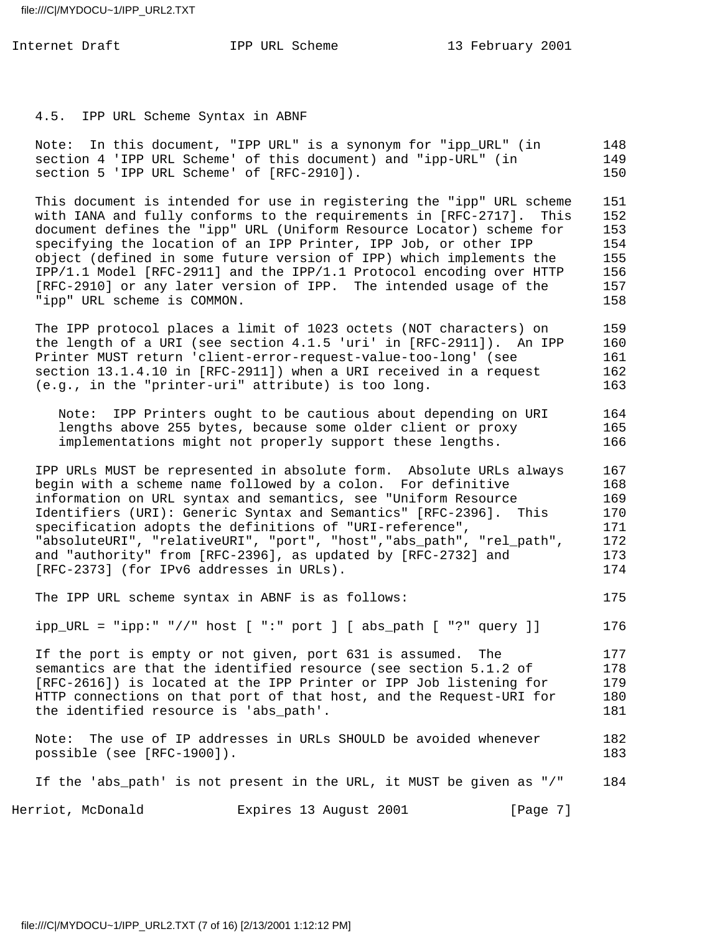4.5. IPP URL Scheme Syntax in ABNF

 Note: In this document, "IPP URL" is a synonym for "ipp\_URL" (in 148 section 4 'IPP URL Scheme' of this document) and "ipp-URL" (in 149 section 5 'IPP URL Scheme' of [RFC-2910]). 150

 This document is intended for use in registering the "ipp" URL scheme 151 with IANA and fully conforms to the requirements in [RFC-2717]. This 152 document defines the "ipp" URL (Uniform Resource Locator) scheme for 153 specifying the location of an IPP Printer, IPP Job, or other IPP 154 object (defined in some future version of IPP) which implements the 155 IPP/1.1 Model [RFC-2911] and the IPP/1.1 Protocol encoding over HTTP 156 [RFC-2910] or any later version of IPP. The intended usage of the 157 "ipp" URL scheme is COMMON. 158

 The IPP protocol places a limit of 1023 octets (NOT characters) on 159 the length of a URI (see section 4.1.5 'uri' in [RFC-2911]). An IPP 160 Printer MUST return 'client-error-request-value-too-long' (see 161 section 13.1.4.10 in [RFC-2911]) when a URI received in a request 162 (e.g., in the "printer-uri" attribute) is too long. 163

 Note: IPP Printers ought to be cautious about depending on URI 164 lengths above 255 bytes, because some older client or proxy 165 implementations might not properly support these lengths. 166

 IPP URLs MUST be represented in absolute form. Absolute URLs always 167 begin with a scheme name followed by a colon. For definitive 168 information on URL syntax and semantics, see "Uniform Resource 169 Identifiers (URI): Generic Syntax and Semantics" [RFC-2396]. This 170 specification adopts the definitions of "URI-reference",  $171$  "absoluteURI", "relativeURI", "port", "host","abs\_path", "rel\_path", 172 and "authority" from [RFC-2396], as updated by [RFC-2732] and 173 [RFC-2373] (for IPv6 addresses in URLs). 174

The IPP URL scheme syntax in ABNF is as follows: 175

ipp\_URL = "ipp:" "//" host [ ":" port ] [ abs\_path [ "?" query ]] 176

If the port is empty or not given, port 631 is assumed. The 177 semantics are that the identified resource (see section 5.1.2 of 178 [RFC-2616]) is located at the IPP Printer or IPP Job listening for 179 HTTP connections on that port of that host, and the Request-URI for 180 the identified resource is 'abs\_path'. 181

 Note: The use of IP addresses in URLs SHOULD be avoided whenever 182 possible (see [RFC-1900]). 183

If the 'abs\_path' is not present in the URL, it MUST be given as "/" 184

Herriot, McDonald Expires 13 August 2001 [Page 7]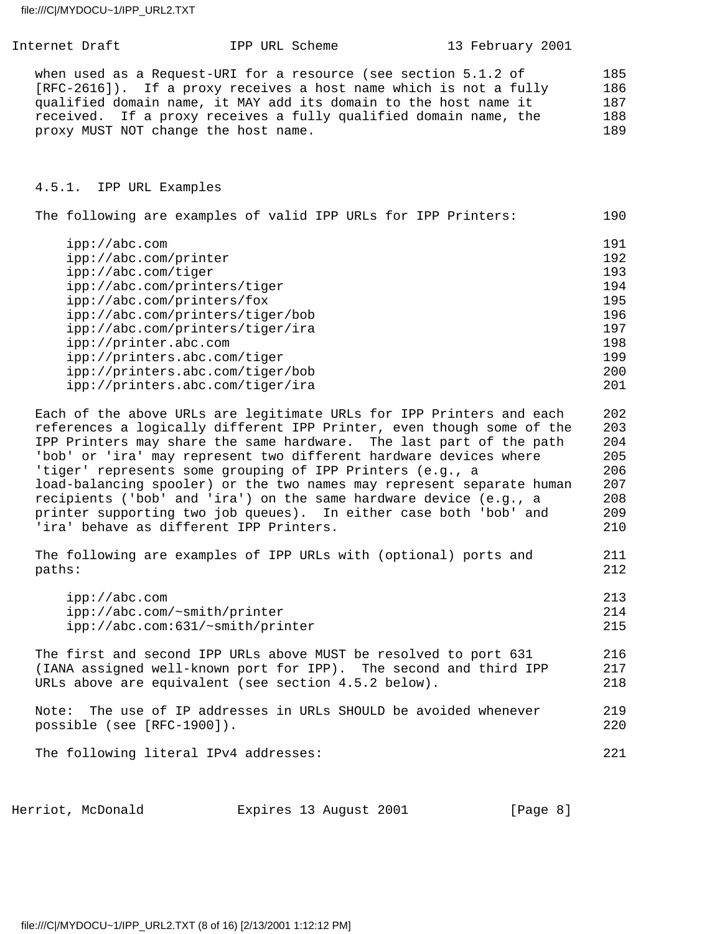Internet Draft **IPP URL Scheme** 13 February 2001 when used as a Request-URI for a resource (see section 5.1.2 of 185 [RFC-2616]). If a proxy receives a host name which is not a fully 186 qualified domain name, it MAY add its domain to the host name it 187 received. If a proxy receives a fully qualified domain name, the 188 proxy MUST NOT change the host name. 189 4.5.1. IPP URL Examples The following are examples of valid IPP URLs for IPP Printers: 190 ipp://abc.com 191 ipp://abc.com/printer 192 ipp://abc.com/tiger 193 ipp://abc.com/printers/tiger 194 ipp://abc.com/printers/fox 195 ipp://abc.com/printers/tiger/bob 196 ipp://abc.com/printers/tiger/ira 197 ipp://printer.abc.com 198 ipp://printers.abc.com/tiger 199 ipp://printers.abc.com/tiger/bob 200 ipp://printers.abc.com/tiger/ira 201 Each of the above URLs are legitimate URLs for IPP Printers and each 202 references a logically different IPP Printer, even though some of the 203 IPP Printers may share the same hardware. The last part of the path 204 'bob' or 'ira' may represent two different hardware devices where 205 'tiger' represents some grouping of IPP Printers (e.g., a 306) load-balancing spooler) or the two names may represent separate human 207 recipients ('bob' and 'ira') on the same hardware device (e.g., a 208 printer supporting two job queues). In either case both 'bob' and 209 'ira' behave as different IPP Printers. 210 The following are examples of IPP URLs with (optional) ports and 211 paths: 212 ipp://abc.com 213 ipp://abc.com/~smith/printer 214 ipp://abc.com:631/~smith/printer 215 The first and second IPP URLs above MUST be resolved to port 631 216 (IANA assigned well-known port for IPP). The second and third IPP 217 URLs above are equivalent (see section 4.5.2 below). 218 Note: The use of IP addresses in URLs SHOULD be avoided whenever 219 possible (see [RFC-1900]). 220 The following literal IPv4 addresses: 221

Herriot, McDonald Expires 13 August 2001 [Page 8]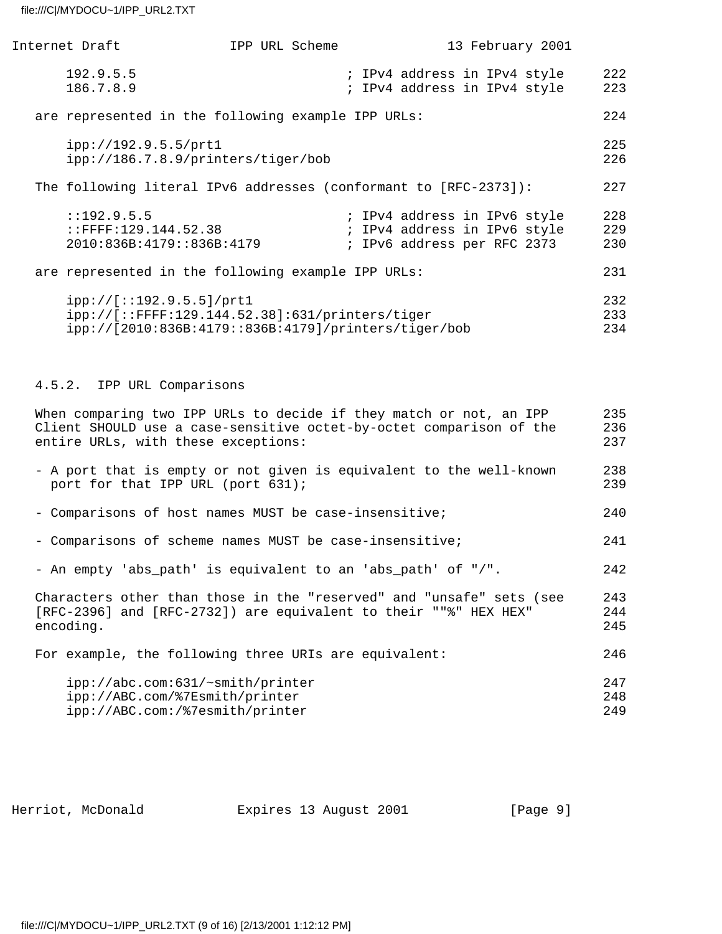| Internet Draft                                                                                                                                                                   | IPP URL Scheme                                                                                          | 13 February 2001                                                                            |                   |
|----------------------------------------------------------------------------------------------------------------------------------------------------------------------------------|---------------------------------------------------------------------------------------------------------|---------------------------------------------------------------------------------------------|-------------------|
| 192.9.5.5<br>186.7.8.9                                                                                                                                                           |                                                                                                         | ; IPv4 address in IPv4 style<br>; IPv4 address in IPv4 style                                | 222<br>223        |
| are represented in the following example IPP URLs:                                                                                                                               |                                                                                                         |                                                                                             | 224               |
| ipp://192.9.5.5/prt1<br>ipp://186.7.8.9/printers/tiger/bob                                                                                                                       |                                                                                                         |                                                                                             | 225<br>226        |
| The following literal IPv6 addresses (conformant to [RFC-2373]):                                                                                                                 |                                                                                                         |                                                                                             | 227               |
| : : 192.9.5.5<br>$:$ FFFF $:129.144.52.38$<br>2010:836B:4179::836B:4179                                                                                                          |                                                                                                         | ; IPv4 address in IPv6 style<br>; IPv4 address in IPv6 style<br>; IPv6 address per RFC 2373 | 228<br>229<br>230 |
| are represented in the following example IPP URLs:                                                                                                                               |                                                                                                         |                                                                                             | 231               |
| ipp://[::192.9.5.5]/prt1                                                                                                                                                         | ipp://[::FFFF:129.144.52.38]:631/printers/tiger<br>ipp://[2010:836B:4179::836B:4179]/printers/tiger/bob |                                                                                             | 232<br>233<br>234 |
| 4.5.2. IPP URL Comparisons                                                                                                                                                       |                                                                                                         |                                                                                             |                   |
| When comparing two IPP URLs to decide if they match or not, an IPP<br>Client SHOULD use a case-sensitive octet-by-octet comparison of the<br>entire URLs, with these exceptions: |                                                                                                         |                                                                                             | 235<br>236<br>237 |
| - A port that is empty or not given is equivalent to the well-known                                                                                                              |                                                                                                         |                                                                                             | 238               |

| port for that IPP URL (port 631);                     | 239 |
|-------------------------------------------------------|-----|
| - Comparisons of host names MUST be case-insensitive; | 240 |

| - Comparisons of scheme names MUST be case-insensitive; | 241 |
|---------------------------------------------------------|-----|
|---------------------------------------------------------|-----|

- An empty 'abs\_path' is equivalent to an 'abs\_path' of "/". 242

 Characters other than those in the "reserved" and "unsafe" sets (see 243 [RFC-2396] and [RFC-2732]) are equivalent to their ""%" HEX HEX" 244 encoding. 245 For example, the following three URIs are equivalent: 246

| ipp://abc.com:631/~smith/printer | 247 |
|----------------------------------|-----|
| ipp://ABC.com/%7Esmith/printer   | 248 |
| ipp://ABC.com:/%7esmith/printer  | 249 |

Herriot, McDonald **Expires 13 August 2001** [Page 9]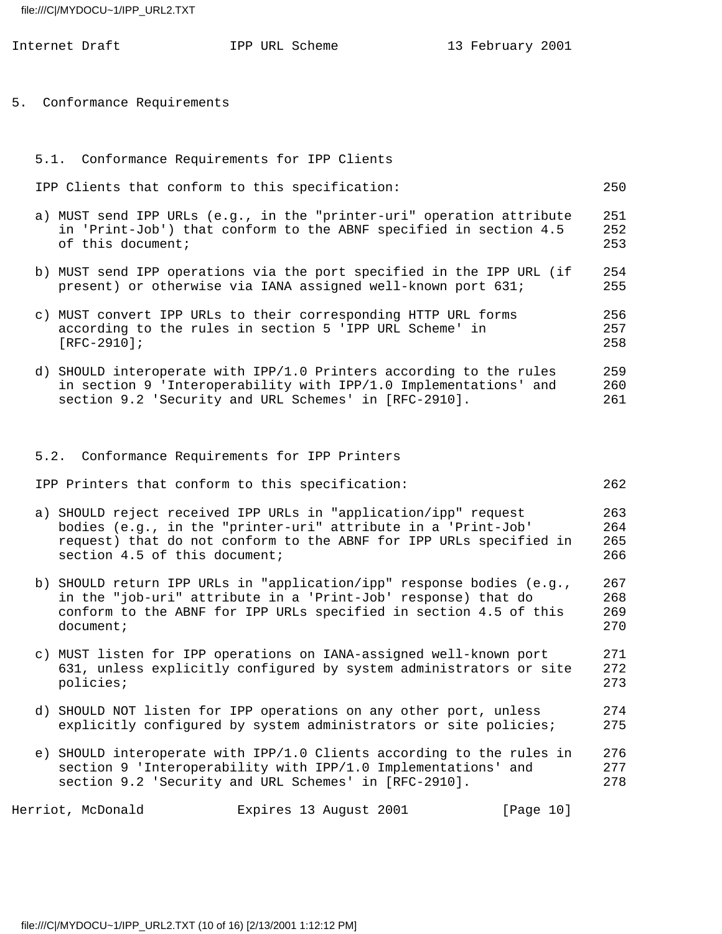|  | Internet Draft                                | IPP URL Scheme                                                                                                                                                                                              | 13 February 2001 |                          |
|--|-----------------------------------------------|-------------------------------------------------------------------------------------------------------------------------------------------------------------------------------------------------------------|------------------|--------------------------|
|  | 5. Conformance Requirements                   |                                                                                                                                                                                                             |                  |                          |
|  | 5.1. Conformance Requirements for IPP Clients |                                                                                                                                                                                                             |                  |                          |
|  |                                               | IPP Clients that conform to this specification:                                                                                                                                                             |                  | 250                      |
|  | of this document;                             | a) MUST send IPP URLs (e.g., in the "printer-uri" operation attribute<br>in 'Print-Job') that conform to the ABNF specified in section 4.5                                                                  |                  | 251<br>252<br>253        |
|  |                                               | b) MUST send IPP operations via the port specified in the IPP URL (if<br>present) or otherwise via IANA assigned well-known port 631;                                                                       |                  | 254<br>255               |
|  | $[RFC-2910]$ ;                                | c) MUST convert IPP URLs to their corresponding HTTP URL forms<br>according to the rules in section 5 'IPP URL Scheme' in                                                                                   |                  | 256<br>257<br>258        |
|  |                                               | d) SHOULD interoperate with IPP/1.0 Printers according to the rules<br>in section 9 'Interoperability with IPP/1.0 Implementations' and<br>section 9.2 'Security and URL Schemes' in [RFC-2910].            |                  | 259<br>260<br>261        |
|  |                                               | 5.2. Conformance Requirements for IPP Printers                                                                                                                                                              |                  |                          |
|  |                                               | IPP Printers that conform to this specification:                                                                                                                                                            |                  | 262                      |
|  | section 4.5 of this document;                 | a) SHOULD reject received IPP URLs in "application/ipp" request<br>bodies (e.g., in the "printer-uri" attribute in a 'Print-Job'<br>request) that do not conform to the ABNF for IPP URLs specified in      |                  | 263<br>264<br>265<br>266 |
|  | document;                                     | b) SHOULD return IPP URLs in "application/ipp" response bodies (e.g.,<br>in the "job-uri" attribute in a 'Print-Job' response) that do<br>conform to the ABNF for IPP URLs specified in section 4.5 of this |                  | 267<br>268<br>269<br>270 |
|  | policies;                                     | c) MUST listen for IPP operations on IANA-assigned well-known port<br>631, unless explicitly configured by system administrators or site                                                                    |                  | 271<br>272<br>273        |
|  |                                               | d) SHOULD NOT listen for IPP operations on any other port, unless<br>explicitly configured by system administrators or site policies;                                                                       |                  | 274<br>275               |
|  |                                               | e) SHOULD interoperate with IPP/1.0 Clients according to the rules in<br>section 9 'Interoperability with IPP/1.0 Implementations' and<br>section 9.2 'Security and URL Schemes' in [RFC-2910].             |                  | 276<br>277<br>278        |

Herriot, McDonald Expires 13 August 2001 [Page 10]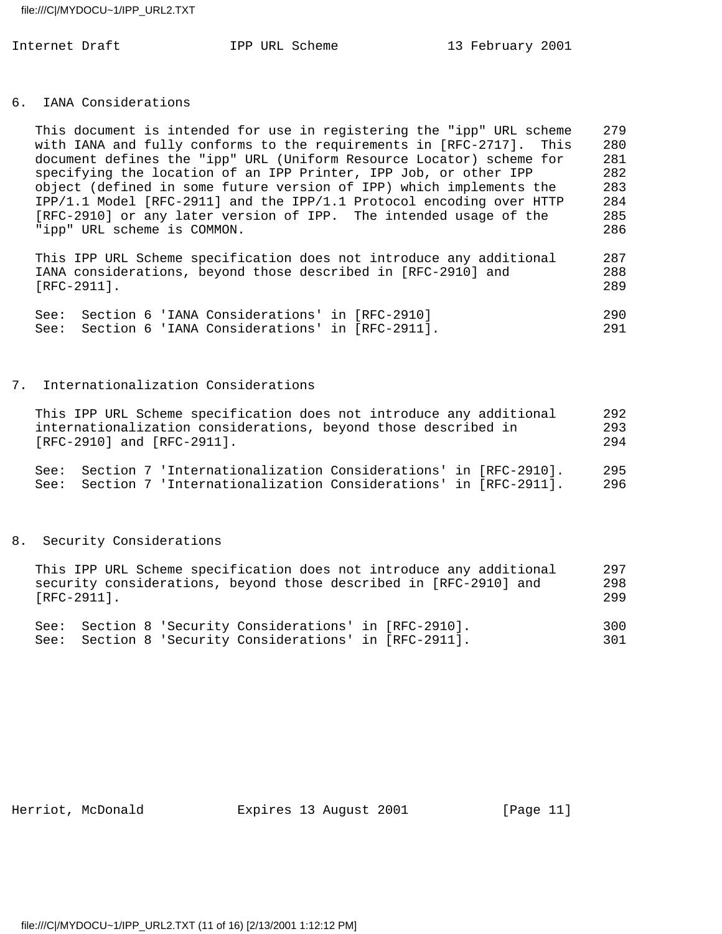#### 6. IANA Considerations

| This document is intended for use in registering the "ipp" URL scheme | 279 |
|-----------------------------------------------------------------------|-----|
| with IANA and fully conforms to the requirements in [RFC-2717]. This  | 280 |
| document defines the "ipp" URL (Uniform Resource Locator) scheme for  | 281 |
| specifying the location of an IPP Printer, IPP Job, or other IPP      | 282 |
| object (defined in some future version of IPP) which implements the   | 283 |
| IPP/1.1 Model [RFC-2911] and the IPP/1.1 Protocol encoding over HTTP  | 284 |
| [RFC-2910] or any later version of IPP. The intended usage of the     | 285 |
| "ipp" URL scheme is COMMON.                                           | 286 |
|                                                                       |     |

 This IPP URL Scheme specification does not introduce any additional 287 IANA considerations, beyond those described in [RFC-2910] and 288 [RFC-2911]. 289

|  | See: Section 6 'IANA Considerations' in [RFC-2910]  |  | 290 |
|--|-----------------------------------------------------|--|-----|
|  | See: Section 6 'IANA Considerations' in [RFC-2911]. |  | 291 |

#### 7. Internationalization Considerations

| This IPP URL Scheme specification does not introduce any additional | 292 |
|---------------------------------------------------------------------|-----|
| internationalization considerations, beyond those described in      | 293 |
| $[RFC-2910]$ and $[RFC-2911]$ .                                     | 294 |
| See: Section 7 'Internationalization Considerations' in [RFC-2910]. | 295 |
| See: Section 7 'Internationalization Considerations' in [RFC-2911]. | 296 |

#### 8. Security Considerations

| This IPP URL Scheme specification does not introduce any additional | 297 |
|---------------------------------------------------------------------|-----|
| security considerations, beyond those described in [RFC-2910] and   | 298 |
| $[RFC-2911]$ .                                                      | 299 |
|                                                                     |     |
| See: Section 8 'Security Considerations' in [RFC-2910].             | 300 |

See: Section 8 'Security Considerations' in [RFC-2911]. 301

Herriot, McDonald **Expires 13 August 2001** [Page 11]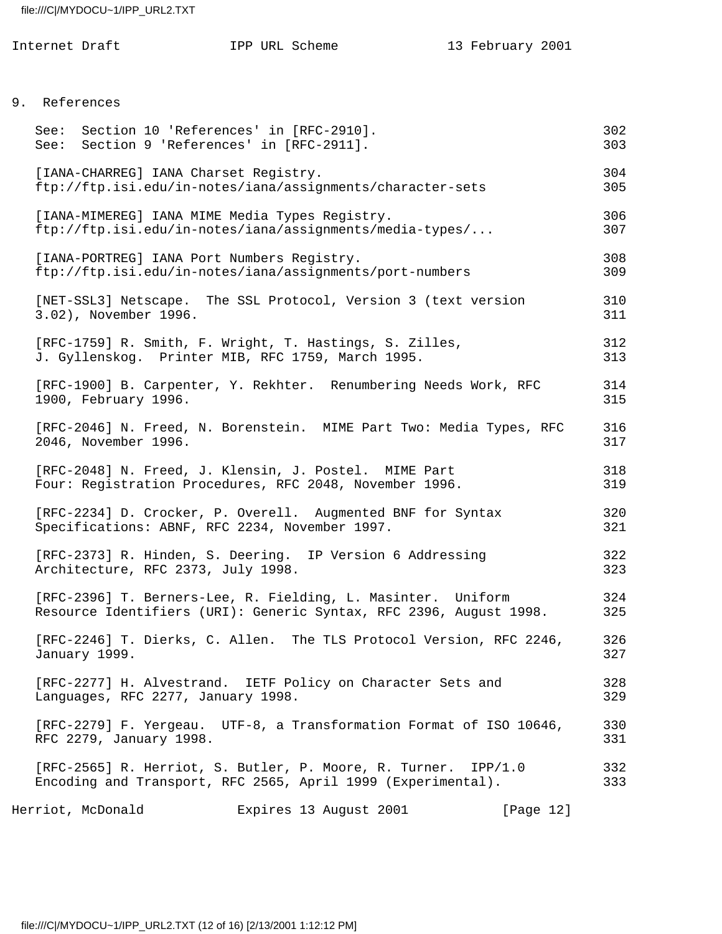| Internet Draft | IPP URL Scheme | 13 February 2001 |
|----------------|----------------|------------------|
|----------------|----------------|------------------|

# 9. References

| See: Section 10 'References' in [RFC-2910].<br>See: Section 9 'References' in [RFC-2911]. |                                                                                                                                    |              | 302<br>303 |
|-------------------------------------------------------------------------------------------|------------------------------------------------------------------------------------------------------------------------------------|--------------|------------|
| [IANA-CHARREG] IANA Charset Registry.                                                     | ftp://ftp.isi.edu/in-notes/iana/assignments/character-sets                                                                         |              | 304<br>305 |
|                                                                                           | [IANA-MIMEREG] IANA MIME Media Types Registry.<br>ftp://ftp.isi.edu/in-notes/iana/assignments/media-types/                         |              | 306<br>307 |
| [IANA-PORTREG] IANA Port Numbers Registry.                                                | ftp://ftp.isi.edu/in-notes/iana/assignments/port-numbers                                                                           |              | 308<br>309 |
| 3.02), November 1996.                                                                     | [NET-SSL3] Netscape. The SSL Protocol, Version 3 (text version                                                                     |              | 310<br>311 |
|                                                                                           | [RFC-1759] R. Smith, F. Wright, T. Hastings, S. Zilles,<br>J. Gyllenskog. Printer MIB, RFC 1759, March 1995.                       |              | 312<br>313 |
| 1900, February 1996.                                                                      | [RFC-1900] B. Carpenter, Y. Rekhter. Renumbering Needs Work, RFC                                                                   |              | 314<br>315 |
| 2046, November 1996.                                                                      | [RFC-2046] N. Freed, N. Borenstein. MIME Part Two: Media Types, RFC                                                                |              | 316<br>317 |
|                                                                                           | [RFC-2048] N. Freed, J. Klensin, J. Postel. MIME Part<br>Four: Registration Procedures, RFC 2048, November 1996.                   |              | 318<br>319 |
|                                                                                           | [RFC-2234] D. Crocker, P. Overell. Augmented BNF for Syntax<br>Specifications: ABNF, RFC 2234, November 1997.                      |              | 320<br>321 |
| Architecture, RFC 2373, July 1998.                                                        | [RFC-2373] R. Hinden, S. Deering. IP Version 6 Addressing                                                                          |              | 322<br>323 |
|                                                                                           | [RFC-2396] T. Berners-Lee, R. Fielding, L. Masinter. Uniform<br>Resource Identifiers (URI): Generic Syntax, RFC 2396, August 1998. |              | 324<br>325 |
| January 1999.                                                                             | [RFC-2246] T. Dierks, C. Allen. The TLS Protocol Version, RFC 2246,                                                                |              | 326<br>327 |
| Languages, RFC 2277, January 1998.                                                        | [RFC-2277] H. Alvestrand. IETF Policy on Character Sets and                                                                        |              | 328<br>329 |
| RFC 2279, January 1998.                                                                   | [RFC-2279] F. Yergeau. UTF-8, a Transformation Format of ISO 10646,                                                                |              | 330<br>331 |
|                                                                                           | [RFC-2565] R. Herriot, S. Butler, P. Moore, R. Turner. IPP/1.0<br>Encoding and Transport, RFC 2565, April 1999 (Experimental).     |              | 332<br>333 |
| Herriot, McDonald                                                                         | Expires 13 August 2001                                                                                                             | [Page $12$ ] |            |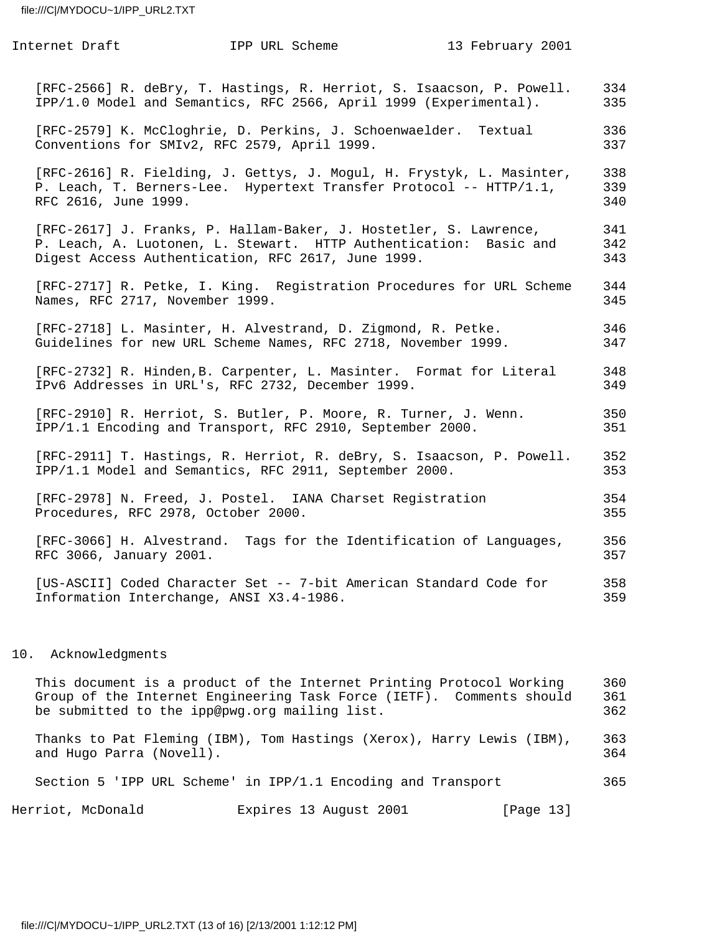| Internet Draft                                       | IPP URL Scheme                                                                                                                                                                               | 13 February 2001                          |                   |
|------------------------------------------------------|----------------------------------------------------------------------------------------------------------------------------------------------------------------------------------------------|-------------------------------------------|-------------------|
|                                                      | [RFC-2566] R. deBry, T. Hastings, R. Herriot, S. Isaacson, P. Powell.<br>IPP/1.0 Model and Semantics, RFC 2566, April 1999 (Experimental).                                                   |                                           | 334<br>335        |
|                                                      | [RFC-2579] K. McCloghrie, D. Perkins, J. Schoenwaelder.<br>Conventions for SMIv2, RFC 2579, April 1999.                                                                                      | Textual                                   | 336<br>337        |
| RFC 2616, June 1999.                                 | [RFC-2616] R. Fielding, J. Gettys, J. Mogul, H. Frystyk, L. Masinter,<br>P. Leach, T. Berners-Lee. Hypertext Transfer Protocol -- HTTP/1.1,                                                  |                                           | 338<br>339<br>340 |
|                                                      | [RFC-2617] J. Franks, P. Hallam-Baker, J. Hostetler, S. Lawrence,<br>P. Leach, A. Luotonen, L. Stewart. HTTP Authentication: Basic and<br>Digest Access Authentication, RFC 2617, June 1999. |                                           | 341<br>342<br>343 |
| Names, RFC 2717, November 1999.                      | [RFC-2717] R. Petke, I. King. Registration Procedures for URL Scheme                                                                                                                         |                                           | 344<br>345        |
|                                                      | [RFC-2718] L. Masinter, H. Alvestrand, D. Zigmond, R. Petke.<br>Guidelines for new URL Scheme Names, RFC 2718, November 1999.                                                                |                                           | 346<br>347        |
|                                                      | [RFC-2732] R. Hinden, B. Carpenter, L. Masinter. Format for Literal<br>IPv6 Addresses in URL's, RFC 2732, December 1999.                                                                     |                                           | 348<br>349        |
|                                                      | [RFC-2910] R. Herriot, S. Butler, P. Moore, R. Turner, J. Wenn.<br>IPP/1.1 Encoding and Transport, RFC 2910, September 2000.                                                                 |                                           | 350<br>351        |
|                                                      | [RFC-2911] T. Hastings, R. Herriot, R. deBry, S. Isaacson, P. Powell.<br>IPP/1.1 Model and Semantics, RFC 2911, September 2000.                                                              |                                           | 352<br>353        |
| Procedures, RFC 2978, October 2000.                  | [RFC-2978] N. Freed, J. Postel. IANA Charset Registration                                                                                                                                    |                                           | 354<br>355        |
| [RFC-3066] H. Alvestrand.<br>RFC 3066, January 2001. |                                                                                                                                                                                              | Tags for the Identification of Languages, | 356<br>357        |
|                                                      | [US-ASCII] Coded Character Set -- 7-bit American Standard Code for<br>Information Interchange, ANSI X3.4-1986.                                                                               |                                           | 358<br>359        |
|                                                      |                                                                                                                                                                                              |                                           |                   |

# 10. Acknowledgments

| This document is a product of the Internet Printing Protocol Working<br>Group of the Internet Engineering Task Force (IETF). Comments should<br>be submitted to the ipp@pwg.org mailing list. | 360<br>361<br>362 |
|-----------------------------------------------------------------------------------------------------------------------------------------------------------------------------------------------|-------------------|
| Thanks to Pat Fleming (IBM), Tom Hastings (Xerox), Harry Lewis (IBM),<br>and Hugo Parra (Novell).                                                                                             | 363<br>364        |
| Section 5 'IPP URL Scheme' in IPP/1.1 Encoding and Transport                                                                                                                                  | 365               |
| Herriot, McDonald<br>Expires 13 August 2001<br>[Page 13]                                                                                                                                      |                   |

file:///C|/MYDOCU~1/IPP\_URL2.TXT (13 of 16) [2/13/2001 1:12:12 PM]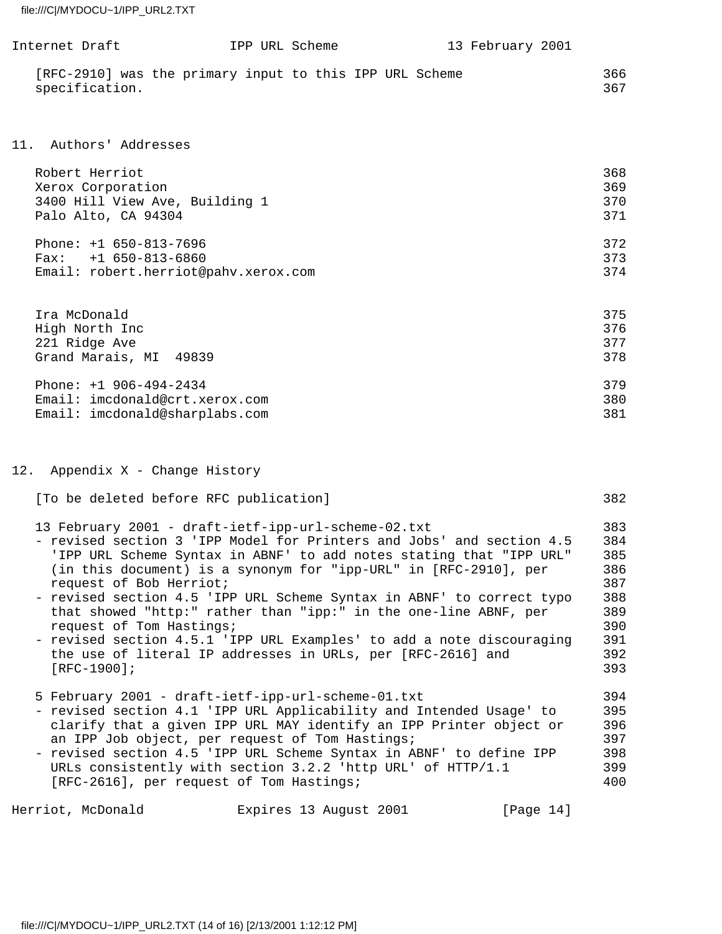| Internet Draft |                                                         | IPP URL Scheme | 13 February 2001 |            |
|----------------|---------------------------------------------------------|----------------|------------------|------------|
| specification. | [RFC-2910] was the primary input to this IPP URL Scheme |                |                  | 366<br>367 |

# 11. Authors' Addresses

| Robert Herriot                       | 368 |
|--------------------------------------|-----|
| Xerox Corporation                    | 369 |
| 3400 Hill View Ave, Building 1       | 370 |
| Palo Alto, CA 94304                  | 371 |
| Phone: $+1$ 650-813-7696             | 372 |
| $Fax: +1 650-813-6860$               | 373 |
| Email: robert.herriot@pahv.xerox.com | 374 |
|                                      |     |

| 375 |
|-----|
| 376 |
| 377 |
| 378 |
| 379 |
| 380 |
| 381 |
|     |

# 12. Appendix X - Change History

| [To be deleted before RFC publication]                                | 382 |
|-----------------------------------------------------------------------|-----|
| 13 February 2001 - draft-ietf-ipp-url-scheme-02.txt                   | 383 |
| - revised section 3 'IPP Model for Printers and Jobs' and section 4.5 | 384 |
| 'IPP URL Scheme Syntax in ABNF' to add notes stating that "IPP URL"   | 385 |
| (in this document) is a synonym for "ipp-URL" in [RFC-2910], per      | 386 |
| request of Bob Herriot;                                               | 387 |
| - revised section 4.5 'IPP URL Scheme Syntax in ABNF' to correct typo | 388 |
| that showed "http:" rather than "ipp:" in the one-line ABNF, per      | 389 |
| request of Tom Hastings;                                              | 390 |
| - revised section 4.5.1 'IPP URL Examples' to add a note discouraging | 391 |
| the use of literal IP addresses in URLs, per [RFC-2616] and           | 392 |
| $[RFC-1900]$ ;                                                        | 393 |
| 5 February 2001 - draft-ietf-ipp-url-scheme-01.txt                    | 394 |
| - revised section 4.1 'IPP URL Applicability and Intended Usage' to   | 395 |
| clarify that a given IPP URL MAY identify an IPP Printer object or    | 396 |
| an IPP Job object, per request of Tom Hastings;                       | 397 |
| - revised section 4.5 'IPP URL Scheme Syntax in ABNF' to define IPP   | 398 |
| URLs consistently with section 3.2.2 'http URL' of HTTP/1.1           | 399 |
| [RFC-2616], per request of Tom Hastings;                              | 400 |

Herriot, McDonald **Expires 13 August 2001** [Page 14]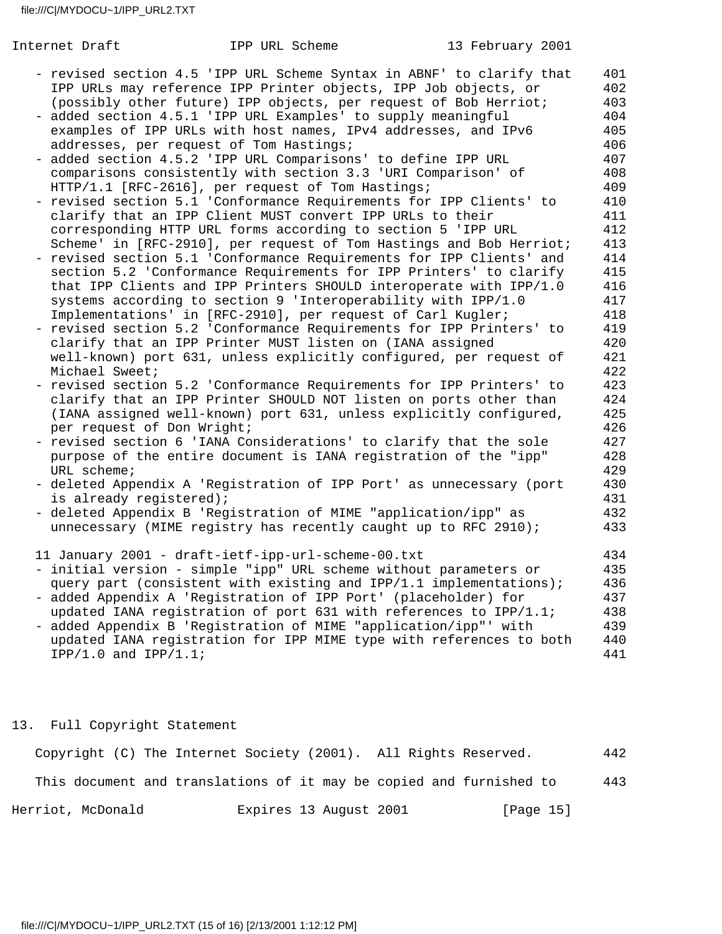| Internet Draft             | IPP URL Scheme                                                                                                               | 13 February 2001 |            |
|----------------------------|------------------------------------------------------------------------------------------------------------------------------|------------------|------------|
|                            | - revised section 4.5 'IPP URL Scheme Syntax in ABNF' to clarify that                                                        |                  | 401        |
|                            | IPP URLs may reference IPP Printer objects, IPP Job objects, or                                                              |                  | 402        |
|                            | (possibly other future) IPP objects, per request of Bob Herriot;                                                             |                  | 403        |
|                            | - added section 4.5.1 'IPP URL Examples' to supply meaningful                                                                |                  | 404        |
|                            | examples of IPP URLs with host names, IPv4 addresses, and IPv6                                                               |                  | 405        |
|                            | addresses, per request of Tom Hastings;                                                                                      |                  | 406        |
|                            | added section 4.5.2 'IPP URL Comparisons' to define IPP URL                                                                  |                  | 407        |
|                            | comparisons consistently with section 3.3 'URI Comparison' of                                                                |                  | 408        |
|                            | HTTP/1.1 [RFC-2616], per request of Tom Hastings;                                                                            |                  | 409        |
|                            | - revised section 5.1 'Conformance Requirements for IPP Clients' to                                                          |                  | 410        |
|                            | clarify that an IPP Client MUST convert IPP URLs to their                                                                    |                  | 411        |
|                            | corresponding HTTP URL forms according to section 5 'IPP URL                                                                 |                  | 412        |
|                            | Scheme' in [RFC-2910], per request of Tom Hastings and Bob Herriot;                                                          |                  | 413        |
|                            | - revised section 5.1 'Conformance Requirements for IPP Clients' and                                                         |                  | 414        |
|                            | section 5.2 'Conformance Requirements for IPP Printers' to clarify                                                           |                  | 415        |
|                            | that IPP Clients and IPP Printers SHOULD interoperate with IPP/1.0                                                           |                  | 416<br>417 |
|                            | systems according to section 9 'Interoperability with IPP/1.0<br>Implementations' in [RFC-2910], per request of Carl Kugler; |                  | 418        |
|                            | - revised section 5.2 'Conformance Requirements for IPP Printers' to                                                         |                  | 419        |
|                            | clarify that an IPP Printer MUST listen on (IANA assigned                                                                    |                  | 420        |
|                            | well-known) port 631, unless explicitly configured, per request of                                                           |                  | 421        |
| Michael Sweet;             |                                                                                                                              |                  | 422        |
|                            | - revised section 5.2 'Conformance Requirements for IPP Printers' to                                                         |                  | 423        |
|                            | clarify that an IPP Printer SHOULD NOT listen on ports other than                                                            |                  | 424        |
|                            | (IANA assigned well-known) port 631, unless explicitly configured,                                                           |                  | 425        |
| per request of Don Wright; |                                                                                                                              |                  | 426        |
|                            | - revised section 6 'IANA Considerations' to clarify that the sole                                                           |                  | 427        |
|                            | purpose of the entire document is IANA registration of the "ipp"                                                             |                  | 428        |
| URL scheme;                |                                                                                                                              |                  | 429        |
|                            | - deleted Appendix A 'Registration of IPP Port' as unnecessary (port                                                         |                  | 430        |
| is already registered);    |                                                                                                                              |                  | 431        |
|                            | - deleted Appendix B 'Registration of MIME "application/ipp" as                                                              |                  | 432        |
|                            | unnecessary (MIME registry has recently caught up to RFC 2910);                                                              |                  | 433        |
|                            | 11 January 2001 - draft-ietf-ipp-url-scheme-00.txt                                                                           |                  | 434        |
|                            | - initial version - simple "ipp" URL scheme without parameters or                                                            |                  | 435        |
|                            | query part (consistent with existing and IPP/1.1 implementations);                                                           |                  | 436        |
|                            | - added Appendix A 'Registration of IPP Port' (placeholder) for                                                              |                  | 437        |
|                            | updated IANA registration of port 631 with references to IPP/1.1;                                                            |                  | 438        |
|                            | - added Appendix B 'Registration of MIME "application/ipp"' with                                                             |                  | 439        |
|                            | updated IANA registration for IPP MIME type with references to both                                                          |                  | 440<br>441 |
| $IPP/1.0$ and $IPP/1.1$ ;  |                                                                                                                              |                  |            |
|                            |                                                                                                                              |                  |            |
|                            |                                                                                                                              |                  |            |

# 13. Full Copyright Statement

|                   |  |  | Copyright (C) The Internet Society (2001). All Rights Reserved.     |                        |  |  |  |           | 442 |
|-------------------|--|--|---------------------------------------------------------------------|------------------------|--|--|--|-----------|-----|
|                   |  |  | This document and translations of it may be copied and furnished to |                        |  |  |  |           | 443 |
| Herriot, McDonald |  |  |                                                                     | Expires 13 August 2001 |  |  |  | [Page 15] |     |